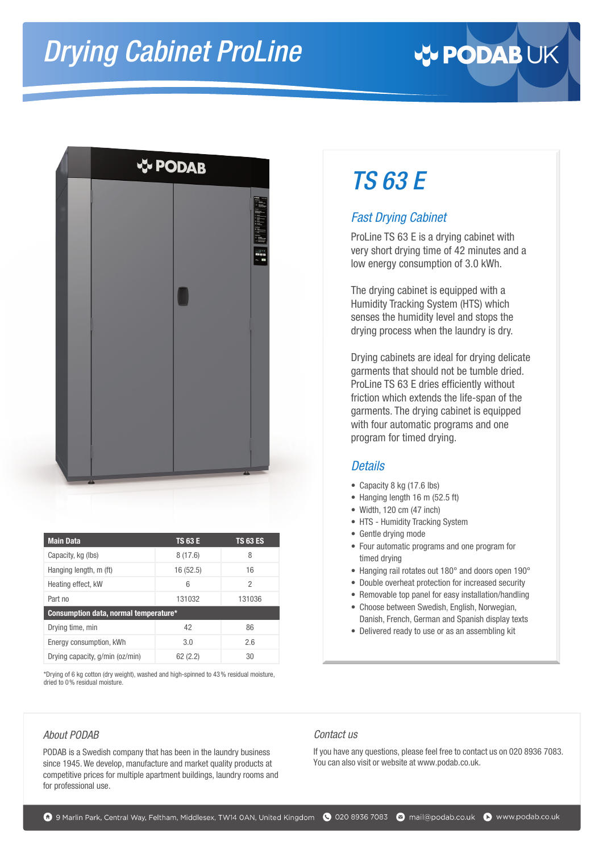# *Drying Cabinet ProLine*





| <b>Main Data</b>                      | <b>TS 63 E</b> | <b>TS 63 ES</b> |  |  |  |  |
|---------------------------------------|----------------|-----------------|--|--|--|--|
| Capacity, kg (lbs)                    | 8(17.6)        | 8               |  |  |  |  |
| Hanging length, m (ft)                | 16 (52.5)      | 16              |  |  |  |  |
| Heating effect, kW                    | 6              | 2               |  |  |  |  |
| Part no                               | 131032         | 131036          |  |  |  |  |
| Consumption data, normal temperature* |                |                 |  |  |  |  |
| Drying time, min                      | 42             | 86              |  |  |  |  |
| Energy consumption, kWh               | 3.0            | 2.6             |  |  |  |  |
| Drying capacity, g/min (oz/min)       | 62(2.2)        | 30              |  |  |  |  |

\*Drying of 6 kg cotton (dry weight), washed and high-spinned to 43% residual moisture, dried to 0% residual moisture.

#### *About PODAB*

PODAB is a Swedish company that has been in the laundry business since 1945. We develop, manufacture and market quality products at competitive prices for multiple apartment buildings, laundry rooms and for professional use.

## *TS 63 E*

### *Fast Drying Cabinet*

ProLine TS 63 E is a drying cabinet with very short drying time of 42 minutes and a low energy consumption of 3.0 kWh.

The drying cabinet is equipped with a Humidity Tracking System (HTS) which senses the humidity level and stops the drying process when the laundry is dry.

Drying cabinets are ideal for drying delicate garments that should not be tumble dried. ProLine TS 63 E dries efficiently without friction which extends the life-span of the garments. The drying cabinet is equipped with four automatic programs and one program for timed drying.

#### *Details*

- Capacity 8 kg (17.6 lbs)
- Hanging length 16 m (52.5 ft)
- Width, 120 cm (47 inch)
- HTS Humidity Tracking System
- Gentle drying mode
- Four automatic programs and one program for timed drying
- Hanging rail rotates out 180° and doors open 190°
- Double overheat protection for increased security
- Removable top panel for easy installation/handling
- Choose between Swedish, English, Norwegian, Danish, French, German and Spanish display texts
- Delivered ready to use or as an assembling kit

#### *Contact us*

If you have any questions, please feel free to contact us on 020 8936 7083. You can also visit or website at www.podab.co.uk.